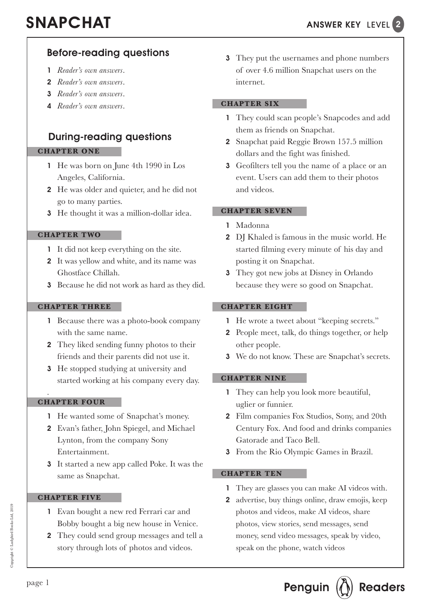# Before-reading questions

- 1 *Reader's own answers*.
- 2 *Reader's own answers*.
- 3 *Reader's own answers*.
- 4 *Reader's own answers*.

## During-reading questions

### **CHAPTER ONE**

- 1 He was born on June 4th 1990 in Los Angeles, California.
- 2 He was older and quieter, and he did not go to many parties.
- 3 He thought it was a million-dollar idea.

### **CHAPTER TWO**

- 1 It did not keep everything on the site.
- 2 It was yellow and white, and its name was Ghostface Chillah.
- 3 Because he did not work as hard as they did.

### **CHAPTER THREE**

- 1 Because there was a photo-book company with the same name.
- 2 They liked sending funny photos to their friends and their parents did not use it.
- 3 He stopped studying at university and started working at his company every day.

### **CHAPTER FOUR** .

- 1 He wanted some of Snapchat's money.
- 2 Evan's father, John Spiegel, and Michael Lynton, from the company Sony Entertainment.
- 3 It started a new app called Poke. It was the same as Snapchat.

### **CHAPTER FIVE**

- 1 Evan bought a new red Ferrari car and Bobby bought a big new house in Venice.
- 2 They could send group messages and tell a story through lots of photos and videos.

**3** They put the usernames and phone numbers of over 4.6 million Snapchat users on the internet.

### **CHAPTER SIX**

- 1 They could scan people's Snapcodes and add them as friends on Snapchat.
- 2 Snapchat paid Reggie Brown 157.5 million dollars and the fight was finished.
- 3 Geofilters tell you the name of a place or an event. Users can add them to their photos and videos.

### **CHAPTER SEVEN**

- 1 Madonna
- 2 DJ Khaled is famous in the music world. He started filming every minute of his day and posting it on Snapchat.
- 3 They got new jobs at Disney in Orlando because they were so good on Snapchat.

### **CHAPTER EIGHT**

- 1 He wrote a tweet about "keeping secrets."
- 2 People meet, talk, do things together, or help other people.
- 3 We do not know. These are Snapchat's secrets.

### **CHAPTER NINE**

- 1 They can help you look more beautiful, uglier or funnier.
- 2 Film companies Fox Studios, Sony, and 20th Century Fox. And food and drinks companies Gatorade and Taco Bell.
- 3 From the Rio Olympic Games in Brazil.

### **CHAPTER TEN**

- 1 They are glasses you can make AI videos with.
- 2 advertise, buy things online, draw emojis, keep photos and videos, make AI videos, share photos, view stories, send messages, send money, send video messages, speak by video, speak on the phone, watch videos